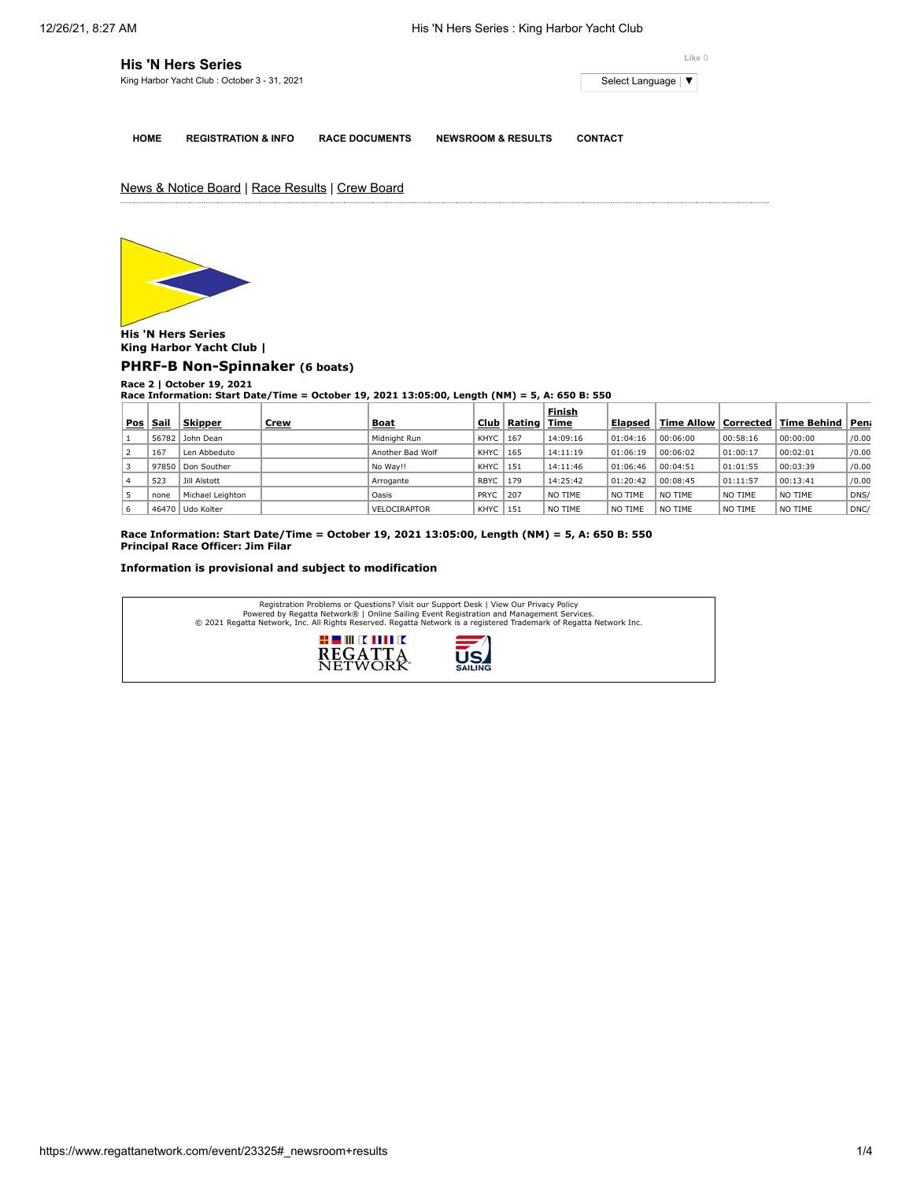| <b>His 'N Hers Series</b>                    | Like 0              |
|----------------------------------------------|---------------------|
| King Harbor Yacht Club: October 3 - 31, 2021 | Select Language   ▼ |
|                                              |                     |

**HOME REGISTRATION & INFO RACE DOCUMENTS NEWSROOM & RESULTS CONTACT**

News & Notice Board | Race Results | Crew Board



**His 'N Hers Series King Harbor Yacht Club |**

**[PHRF-B Non-Spinnaker](https://www.regattanetwork.com/clubmgmt/applet_race_scores.php?regatta_id=23325&race_num=2&fleet=PHRF-B+Non-Spinnaker&show_crew=1) (6 boats)**

**Race 2 | October 19, 2021 Race Information: Start Date/Time = October 19, 2021 13:05:00, Length (NM) = 5, A: 650 B: 550**

|     |       |                  |             |                     |             |                             | Finish   |          |                        |          |               |       |
|-----|-------|------------------|-------------|---------------------|-------------|-----------------------------|----------|----------|------------------------|----------|---------------|-------|
| Pos | Sail  | <b>Skipper</b>   | <u>Crew</u> | <b>Boat</b>         | Club        | $\mathsf{Rating} \parallel$ | Time     | Elapsed  | Time Allow   Corrected |          | ∣Time Behind∣ | Pen   |
|     | 56782 | John Dean        |             | Midnight Run        | KHYC        | 167                         | 14:09:16 | 01:04:16 | 00:06:00               | 00:58:16 | 00:00:00      | /0.00 |
|     | 167   | Len Abbeduto     |             | Another Bad Wolf    | KHYC        | 165                         | 14:11:19 | 01:06:19 | 00:06:02               | 01:00:17 | 00:02:01      | /0.00 |
|     | 97850 | Don Souther      |             | No Way!!            | KHYC        | 151                         | 14:11:46 | 01:06:46 | 00:04:51               | 01:01:55 | 00:03:39      | /0.00 |
|     | 523   | Jill Alstott     |             | Arrogante           | <b>RBYC</b> | 179                         | 14:25:42 | 01:20:42 | 00:08:45               | 01:11:57 | 00:13:41      | /0.00 |
|     | none  | Michael Leighton |             | Oasis               | PRYC        | 207                         | NO TIME  | NO TIME  | NO TIME                | NO TIME  | NO TIME       | DNS/  |
| 6   |       | 46470 Udo Kolter |             | <b>VELOCIRAPTOR</b> | KHYC        | 151                         | NO TIME  | NO TIME  | NO TIME                | NO TIME  | NO TIME       | DNC/  |

**Race Information: Start Date/Time = October 19, 2021 13:05:00, Length (NM) = 5, A: 650 B: 550 Principal Race Officer: Jim Filar**

## **Information is provisional and subject to modification**